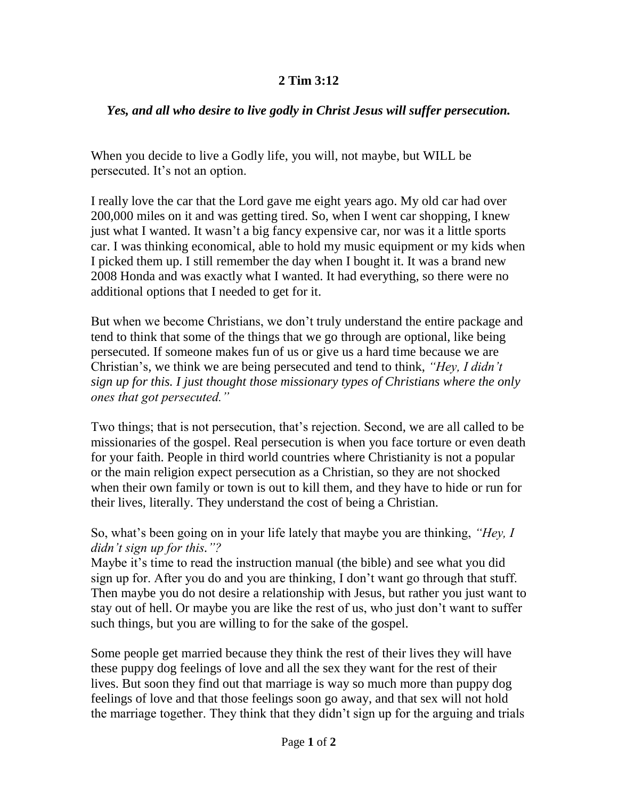## **2 Tim 3:12**

## *Yes, and all who desire to live godly in Christ Jesus will suffer persecution.*

When you decide to live a Godly life, you will, not maybe, but WILL be persecuted. It's not an option.

I really love the car that the Lord gave me eight years ago. My old car had over 200,000 miles on it and was getting tired. So, when I went car shopping, I knew just what I wanted. It wasn't a big fancy expensive car, nor was it a little sports car. I was thinking economical, able to hold my music equipment or my kids when I picked them up. I still remember the day when I bought it. It was a brand new 2008 Honda and was exactly what I wanted. It had everything, so there were no additional options that I needed to get for it.

But when we become Christians, we don't truly understand the entire package and tend to think that some of the things that we go through are optional, like being persecuted. If someone makes fun of us or give us a hard time because we are Christian's, we think we are being persecuted and tend to think, *"Hey, I didn't sign up for this. I just thought those missionary types of Christians where the only ones that got persecuted."*

Two things; that is not persecution, that's rejection. Second, we are all called to be missionaries of the gospel. Real persecution is when you face torture or even death for your faith. People in third world countries where Christianity is not a popular or the main religion expect persecution as a Christian, so they are not shocked when their own family or town is out to kill them, and they have to hide or run for their lives, literally. They understand the cost of being a Christian.

So, what's been going on in your life lately that maybe you are thinking, *"Hey, I didn't sign up for this."?*

Maybe it's time to read the instruction manual (the bible) and see what you did sign up for. After you do and you are thinking, I don't want go through that stuff. Then maybe you do not desire a relationship with Jesus, but rather you just want to stay out of hell. Or maybe you are like the rest of us, who just don't want to suffer such things, but you are willing to for the sake of the gospel.

Some people get married because they think the rest of their lives they will have these puppy dog feelings of love and all the sex they want for the rest of their lives. But soon they find out that marriage is way so much more than puppy dog feelings of love and that those feelings soon go away, and that sex will not hold the marriage together. They think that they didn't sign up for the arguing and trials